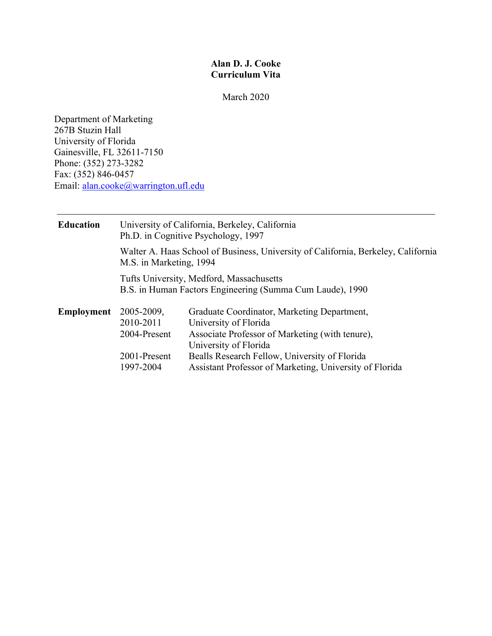# **Alan D. J. Cooke Curriculum Vita**

March 2020

Department of Marketing 267B Stuzin Hall University of Florida Gainesville, FL 32611-7150 Phone: (352) 273-3282 Fax: (352) 846-0457 Email: alan.cooke@warrington.ufl.edu

| <b>Education</b>  | University of California, Berkeley, California<br>Ph.D. in Cognitive Psychology, 1997                        |                                                                                                                                                                                                                                                              |  |
|-------------------|--------------------------------------------------------------------------------------------------------------|--------------------------------------------------------------------------------------------------------------------------------------------------------------------------------------------------------------------------------------------------------------|--|
|                   | Walter A. Haas School of Business, University of California, Berkeley, California<br>M.S. in Marketing, 1994 |                                                                                                                                                                                                                                                              |  |
|                   | Tufts University, Medford, Massachusetts<br>B.S. in Human Factors Engineering (Summa Cum Laude), 1990        |                                                                                                                                                                                                                                                              |  |
| <b>Employment</b> | 2005-2009,<br>2010-2011<br>2004-Present<br>2001-Present<br>1997-2004                                         | Graduate Coordinator, Marketing Department,<br>University of Florida<br>Associate Professor of Marketing (with tenure),<br>University of Florida<br>Bealls Research Fellow, University of Florida<br>Assistant Professor of Marketing, University of Florida |  |
|                   |                                                                                                              |                                                                                                                                                                                                                                                              |  |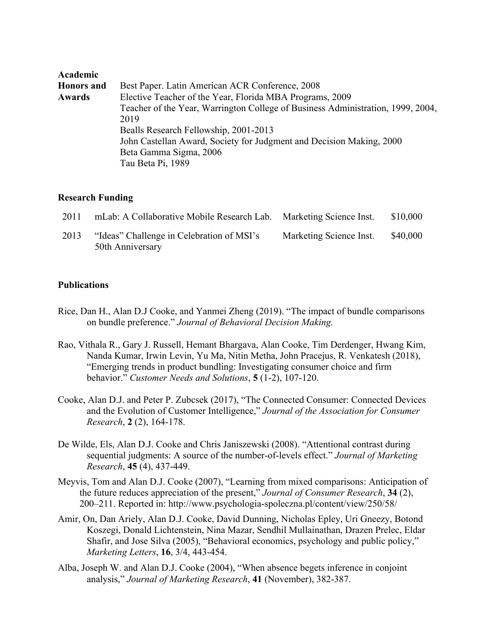| Academic          |                                                                                 |
|-------------------|---------------------------------------------------------------------------------|
| <b>Honors</b> and | Best Paper. Latin American ACR Conference, 2008                                 |
| Awards            | Elective Teacher of the Year, Florida MBA Programs, 2009                        |
|                   | Teacher of the Year, Warrington College of Business Administration, 1999, 2004, |
|                   | 2019                                                                            |
|                   | Bealls Research Fellowship, 2001-2013                                           |
|                   | John Castellan Award, Society for Judgment and Decision Making, 2000            |
|                   | Beta Gamma Sigma, 2006                                                          |
|                   | Tau Beta Pi, 1989                                                               |

## **Research Funding**

| 2011 | mLab: A Collaborative Mobile Research Lab.                    | Marketing Science Inst. | \$10,000 |
|------|---------------------------------------------------------------|-------------------------|----------|
| 2013 | "Ideas" Challenge in Celebration of MSI's<br>50th Anniversary | Marketing Science Inst. | \$40,000 |

## **Publications**

- Rice, Dan H., Alan D.J Cooke, and Yanmei Zheng (2019). "The impact of bundle comparisons on bundle preference." *Journal of Behavioral Decision Making.*
- Rao, Vithala R., Gary J. Russell, Hemant Bhargava, Alan Cooke, Tim Derdenger, Hwang Kim, Nanda Kumar, Irwin Levin, Yu Ma, Nitin Metha, John Pracejus, R. Venkatesh (2018), "Emerging trends in product bundling: Investigating consumer choice and firm behavior." *Customer Needs and Solutions*, **5** (1-2), 107-120.
- Cooke, Alan D.J. and Peter P. Zubcsek (2017), "The Connected Consumer: Connected Devices and the Evolution of Customer Intelligence," *Journal of the Association for Consumer Research*, **2** (2), 164-178.
- De Wilde, Els, Alan D.J. Cooke and Chris Janiszewski (2008). "Attentional contrast during sequential judgments: A source of the number-of-levels effect." *Journal of Marketing Research*, **45** (4), 437-449.
- Meyvis, Tom and Alan D.J. Cooke (2007), "Learning from mixed comparisons: Anticipation of the future reduces appreciation of the present," *Journal of Consumer Research*, **34** (2), 200–211. Reported in: http://www.psychologia-spoleczna.pl/content/view/250/58/
- Amir, On, Dan Ariely, Alan D.J. Cooke, David Dunning, Nicholas Epley, Uri Gneezy, Botond Koszegi, Donald Lichtenstein, Nina Mazar, Sendhil Mullainathan, Drazen Prelec, Eldar Shafir, and Jose Silva (2005), "Behavioral economics, psychology and public policy," *Marketing Letters*, **16**, 3/4, 443-454.
- Alba, Joseph W. and Alan D.J. Cooke (2004), "When absence begets inference in conjoint analysis," *Journal of Marketing Research*, **41** (November), 382-387.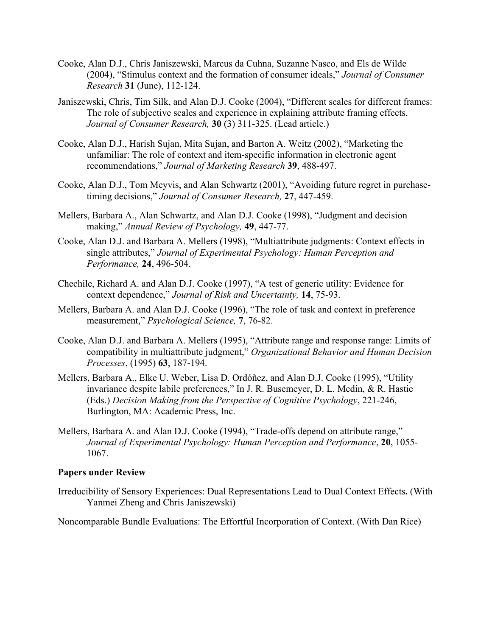- Cooke, Alan D.J., Chris Janiszewski, Marcus da Cuhna, Suzanne Nasco, and Els de Wilde (2004), "Stimulus context and the formation of consumer ideals," *Journal of Consumer Research* **31** (June), 112-124.
- Janiszewski, Chris, Tim Silk, and Alan D.J. Cooke (2004), "Different scales for different frames: The role of subjective scales and experience in explaining attribute framing effects. *Journal of Consumer Research,* **30** (3) 311-325. (Lead article.)
- Cooke, Alan D.J., Harish Sujan, Mita Sujan, and Barton A. Weitz (2002), "Marketing the unfamiliar: The role of context and item-specific information in electronic agent recommendations," *Journal of Marketing Research* **39**, 488-497.
- Cooke, Alan D.J., Tom Meyvis, and Alan Schwartz (2001), "Avoiding future regret in purchasetiming decisions," *Journal of Consumer Research,* **27**, 447-459.
- Mellers, Barbara A., Alan Schwartz, and Alan D.J. Cooke (1998), "Judgment and decision making," *Annual Review of Psychology,* **49**, 447-77.
- Cooke, Alan D.J. and Barbara A. Mellers (1998), "Multiattribute judgments: Context effects in single attributes," *Journal of Experimental Psychology: Human Perception and Performance,* **24**, 496-504.
- Chechile, Richard A. and Alan D.J. Cooke (1997), "A test of generic utility: Evidence for context dependence," *Journal of Risk and Uncertainty,* **14**, 75-93.
- Mellers, Barbara A. and Alan D.J. Cooke (1996), "The role of task and context in preference measurement," *Psychological Science,* **7**, 76-82.
- Cooke, Alan D.J. and Barbara A. Mellers (1995), "Attribute range and response range: Limits of compatibility in multiattribute judgment," *Organizational Behavior and Human Decision Processes*, (1995) **63**, 187-194.
- Mellers, Barbara A., Elke U. Weber, Lisa D. Ordóñez, and Alan D.J. Cooke (1995), "Utility invariance despite labile preferences," In J. R. Busemeyer, D. L. Medin, & R. Hastie (Eds.) *Decision Making from the Perspective of Cognitive Psychology*, 221-246, Burlington, MA: Academic Press, Inc.
- Mellers, Barbara A. and Alan D.J. Cooke (1994), "Trade-offs depend on attribute range," *Journal of Experimental Psychology: Human Perception and Performance*, **20**, 1055- 1067.

#### **Papers under Review**

Irreducibility of Sensory Experiences: Dual Representations Lead to Dual Context Effects**.** (With Yanmei Zheng and Chris Janiszewski)

Noncomparable Bundle Evaluations: The Effortful Incorporation of Context. (With Dan Rice)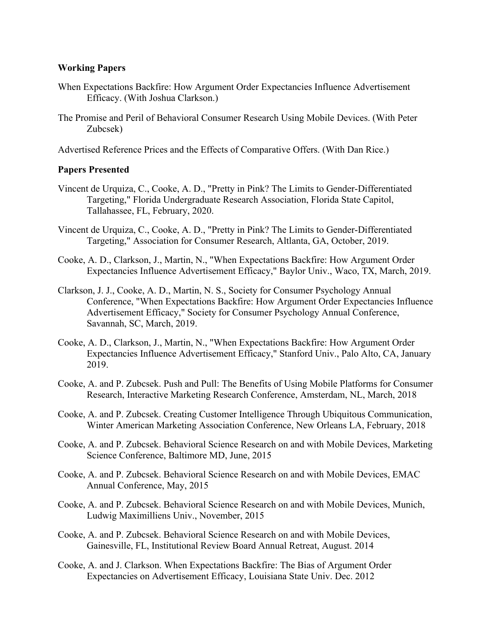### **Working Papers**

- When Expectations Backfire: How Argument Order Expectancies Influence Advertisement Efficacy. (With Joshua Clarkson.)
- The Promise and Peril of Behavioral Consumer Research Using Mobile Devices. (With Peter Zubcsek)

Advertised Reference Prices and the Effects of Comparative Offers. (With Dan Rice.)

## **Papers Presented**

- Vincent de Urquiza, C., Cooke, A. D., "Pretty in Pink? The Limits to Gender-Differentiated Targeting," Florida Undergraduate Research Association, Florida State Capitol, Tallahassee, FL, February, 2020.
- Vincent de Urquiza, C., Cooke, A. D., "Pretty in Pink? The Limits to Gender-Differentiated Targeting," Association for Consumer Research, Altlanta, GA, October, 2019.
- Cooke, A. D., Clarkson, J., Martin, N., "When Expectations Backfire: How Argument Order Expectancies Influence Advertisement Efficacy," Baylor Univ., Waco, TX, March, 2019.
- Clarkson, J. J., Cooke, A. D., Martin, N. S., Society for Consumer Psychology Annual Conference, "When Expectations Backfire: How Argument Order Expectancies Influence Advertisement Efficacy," Society for Consumer Psychology Annual Conference, Savannah, SC, March, 2019.
- Cooke, A. D., Clarkson, J., Martin, N., "When Expectations Backfire: How Argument Order Expectancies Influence Advertisement Efficacy," Stanford Univ., Palo Alto, CA, January 2019.
- Cooke, A. and P. Zubcsek. Push and Pull: The Benefits of Using Mobile Platforms for Consumer Research, Interactive Marketing Research Conference, Amsterdam, NL, March, 2018
- Cooke, A. and P. Zubcsek. Creating Customer Intelligence Through Ubiquitous Communication, Winter American Marketing Association Conference, New Orleans LA, February, 2018
- Cooke, A. and P. Zubcsek. Behavioral Science Research on and with Mobile Devices, Marketing Science Conference, Baltimore MD, June, 2015
- Cooke, A. and P. Zubcsek. Behavioral Science Research on and with Mobile Devices, EMAC Annual Conference, May, 2015
- Cooke, A. and P. Zubcsek. Behavioral Science Research on and with Mobile Devices, Munich, Ludwig Maximilliens Univ., November, 2015
- Cooke, A. and P. Zubcsek. Behavioral Science Research on and with Mobile Devices, Gainesville, FL, Institutional Review Board Annual Retreat, August. 2014
- Cooke, A. and J. Clarkson. When Expectations Backfire: The Bias of Argument Order Expectancies on Advertisement Efficacy, Louisiana State Univ. Dec. 2012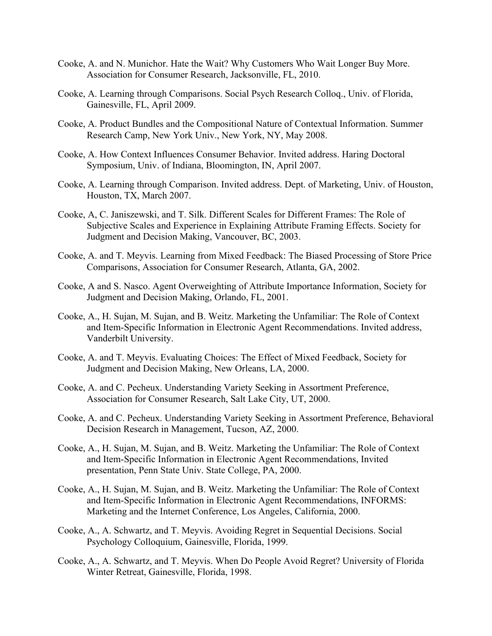- Cooke, A. and N. Munichor. Hate the Wait? Why Customers Who Wait Longer Buy More. Association for Consumer Research, Jacksonville, FL, 2010.
- Cooke, A. Learning through Comparisons. Social Psych Research Colloq., Univ. of Florida, Gainesville, FL, April 2009.
- Cooke, A. Product Bundles and the Compositional Nature of Contextual Information. Summer Research Camp, New York Univ., New York, NY, May 2008.
- Cooke, A. How Context Influences Consumer Behavior. Invited address. Haring Doctoral Symposium, Univ. of Indiana, Bloomington, IN, April 2007.
- Cooke, A. Learning through Comparison. Invited address. Dept. of Marketing, Univ. of Houston, Houston, TX, March 2007.
- Cooke, A, C. Janiszewski, and T. Silk. Different Scales for Different Frames: The Role of Subjective Scales and Experience in Explaining Attribute Framing Effects. Society for Judgment and Decision Making, Vancouver, BC, 2003.
- Cooke, A. and T. Meyvis. Learning from Mixed Feedback: The Biased Processing of Store Price Comparisons, Association for Consumer Research, Atlanta, GA, 2002.
- Cooke, A and S. Nasco. Agent Overweighting of Attribute Importance Information, Society for Judgment and Decision Making, Orlando, FL, 2001.
- Cooke, A., H. Sujan, M. Sujan, and B. Weitz. Marketing the Unfamiliar: The Role of Context and Item-Specific Information in Electronic Agent Recommendations. Invited address, Vanderbilt University.
- Cooke, A. and T. Meyvis. Evaluating Choices: The Effect of Mixed Feedback, Society for Judgment and Decision Making, New Orleans, LA, 2000.
- Cooke, A. and C. Pecheux. Understanding Variety Seeking in Assortment Preference, Association for Consumer Research, Salt Lake City, UT, 2000.
- Cooke, A. and C. Pecheux. Understanding Variety Seeking in Assortment Preference, Behavioral Decision Research in Management, Tucson, AZ, 2000.
- Cooke, A., H. Sujan, M. Sujan, and B. Weitz. Marketing the Unfamiliar: The Role of Context and Item-Specific Information in Electronic Agent Recommendations, Invited presentation, Penn State Univ. State College, PA, 2000.
- Cooke, A., H. Sujan, M. Sujan, and B. Weitz. Marketing the Unfamiliar: The Role of Context and Item-Specific Information in Electronic Agent Recommendations, INFORMS: Marketing and the Internet Conference, Los Angeles, California, 2000.
- Cooke, A., A. Schwartz, and T. Meyvis. Avoiding Regret in Sequential Decisions. Social Psychology Colloquium, Gainesville, Florida, 1999.
- Cooke, A., A. Schwartz, and T. Meyvis. When Do People Avoid Regret? University of Florida Winter Retreat, Gainesville, Florida, 1998.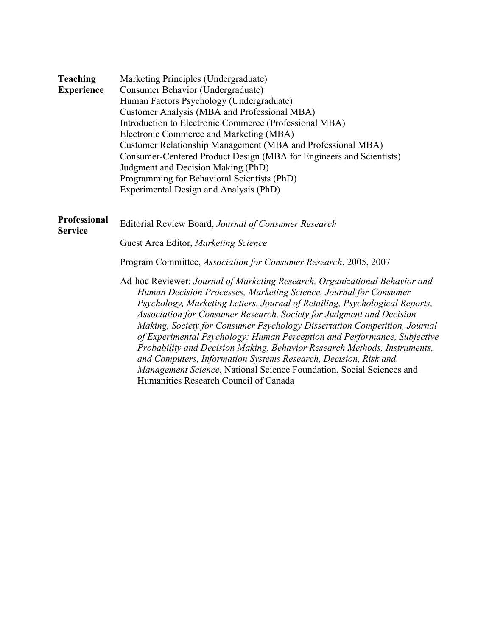| <b>Teaching</b>                       | Marketing Principles (Undergraduate)                                                                                                                                                                                                                                                                                                                                                                                                                                                                                                                                                                                                                                                                                             |  |  |
|---------------------------------------|----------------------------------------------------------------------------------------------------------------------------------------------------------------------------------------------------------------------------------------------------------------------------------------------------------------------------------------------------------------------------------------------------------------------------------------------------------------------------------------------------------------------------------------------------------------------------------------------------------------------------------------------------------------------------------------------------------------------------------|--|--|
| <b>Experience</b>                     | Consumer Behavior (Undergraduate)                                                                                                                                                                                                                                                                                                                                                                                                                                                                                                                                                                                                                                                                                                |  |  |
|                                       | Human Factors Psychology (Undergraduate)                                                                                                                                                                                                                                                                                                                                                                                                                                                                                                                                                                                                                                                                                         |  |  |
|                                       | Customer Analysis (MBA and Professional MBA)                                                                                                                                                                                                                                                                                                                                                                                                                                                                                                                                                                                                                                                                                     |  |  |
|                                       | Introduction to Electronic Commerce (Professional MBA)                                                                                                                                                                                                                                                                                                                                                                                                                                                                                                                                                                                                                                                                           |  |  |
|                                       | Electronic Commerce and Marketing (MBA)<br>Customer Relationship Management (MBA and Professional MBA)                                                                                                                                                                                                                                                                                                                                                                                                                                                                                                                                                                                                                           |  |  |
|                                       |                                                                                                                                                                                                                                                                                                                                                                                                                                                                                                                                                                                                                                                                                                                                  |  |  |
|                                       | Consumer-Centered Product Design (MBA for Engineers and Scientists)                                                                                                                                                                                                                                                                                                                                                                                                                                                                                                                                                                                                                                                              |  |  |
|                                       | Judgment and Decision Making (PhD)                                                                                                                                                                                                                                                                                                                                                                                                                                                                                                                                                                                                                                                                                               |  |  |
|                                       | Programming for Behavioral Scientists (PhD)                                                                                                                                                                                                                                                                                                                                                                                                                                                                                                                                                                                                                                                                                      |  |  |
|                                       | Experimental Design and Analysis (PhD)                                                                                                                                                                                                                                                                                                                                                                                                                                                                                                                                                                                                                                                                                           |  |  |
|                                       |                                                                                                                                                                                                                                                                                                                                                                                                                                                                                                                                                                                                                                                                                                                                  |  |  |
| <b>Professional</b><br><b>Service</b> | Editorial Review Board, Journal of Consumer Research                                                                                                                                                                                                                                                                                                                                                                                                                                                                                                                                                                                                                                                                             |  |  |
|                                       | Guest Area Editor, Marketing Science                                                                                                                                                                                                                                                                                                                                                                                                                                                                                                                                                                                                                                                                                             |  |  |
|                                       | Program Committee, Association for Consumer Research, 2005, 2007                                                                                                                                                                                                                                                                                                                                                                                                                                                                                                                                                                                                                                                                 |  |  |
|                                       | Ad-hoc Reviewer: Journal of Marketing Research, Organizational Behavior and<br>Human Decision Processes, Marketing Science, Journal for Consumer<br>Psychology, Marketing Letters, Journal of Retailing, Psychological Reports,<br>Association for Consumer Research, Society for Judgment and Decision<br>Making, Society for Consumer Psychology Dissertation Competition, Journal<br>of Experimental Psychology: Human Perception and Performance, Subjective<br>Probability and Decision Making, Behavior Research Methods, Instruments,<br>and Computers, Information Systems Research, Decision, Risk and<br>Management Science, National Science Foundation, Social Sciences and<br>Humanities Research Council of Canada |  |  |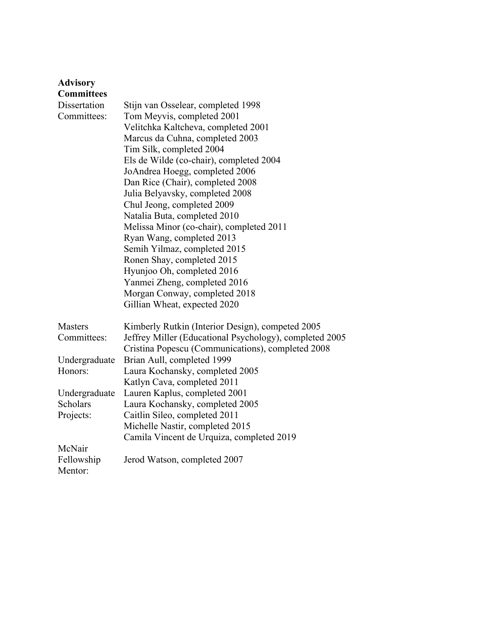| <b>Advisory</b>   |                                                         |
|-------------------|---------------------------------------------------------|
| <b>Committees</b> |                                                         |
| Dissertation      | Stijn van Osselear, completed 1998                      |
| Committees:       | Tom Meyvis, completed 2001                              |
|                   | Velitchka Kaltcheva, completed 2001                     |
|                   | Marcus da Cuhna, completed 2003                         |
|                   | Tim Silk, completed 2004                                |
|                   | Els de Wilde (co-chair), completed 2004                 |
|                   | JoAndrea Hoegg, completed 2006                          |
|                   | Dan Rice (Chair), completed 2008                        |
|                   | Julia Belyavsky, completed 2008                         |
|                   | Chul Jeong, completed 2009                              |
|                   | Natalia Buta, completed 2010                            |
|                   | Melissa Minor (co-chair), completed 2011                |
|                   | Ryan Wang, completed 2013                               |
|                   | Semih Yilmaz, completed 2015                            |
|                   | Ronen Shay, completed 2015                              |
|                   | Hyunjoo Oh, completed 2016                              |
|                   | Yanmei Zheng, completed 2016                            |
|                   | Morgan Conway, completed 2018                           |
|                   | Gillian Wheat, expected 2020                            |
|                   |                                                         |
| <b>Masters</b>    | Kimberly Rutkin (Interior Design), competed 2005        |
| Committees:       | Jeffrey Miller (Educational Psychology), completed 2005 |
|                   | Cristina Popescu (Communications), completed 2008       |
| Undergraduate     | Brian Aull, completed 1999                              |
| Honors:           | Laura Kochansky, completed 2005                         |
|                   | Katlyn Cava, completed 2011                             |
| Undergraduate     | Lauren Kaplus, completed 2001                           |
| Scholars          | Laura Kochansky, completed 2005                         |
| Projects:         | Caitlin Sileo, completed 2011                           |
|                   | Michelle Nastir, completed 2015                         |
|                   | Camila Vincent de Urquiza, completed 2019               |
| McNair            |                                                         |
| Fellowship        | Jerod Watson, completed 2007                            |
| Mentor:           |                                                         |